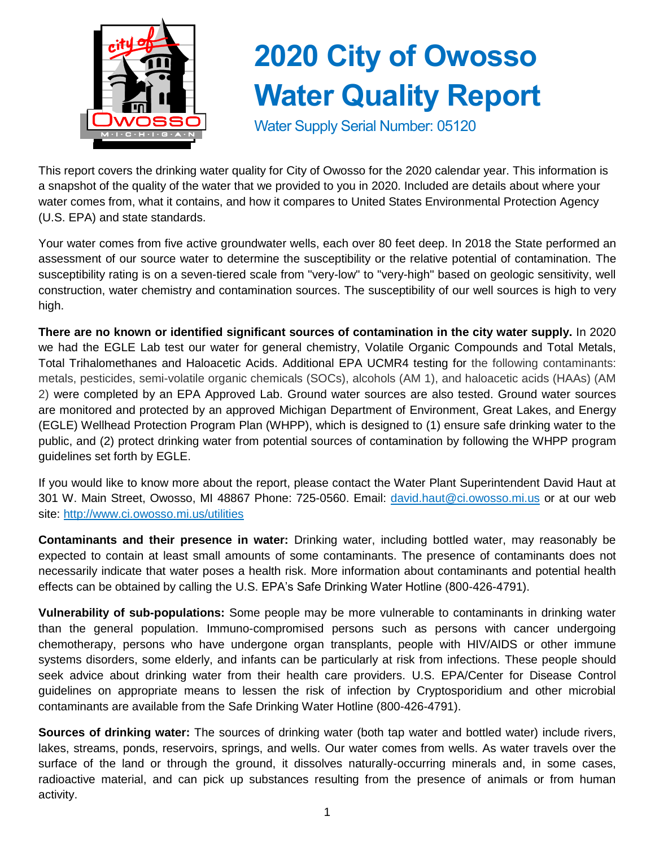

# **2020 City of Owosso Water Quality Report**

Water Supply Serial Number: 05120

This report covers the drinking water quality for City of Owosso for the 2020 calendar year. This information is a snapshot of the quality of the water that we provided to you in 2020. Included are details about where your water comes from, what it contains, and how it compares to United States Environmental Protection Agency (U.S. EPA) and state standards.

Your water comes from five active groundwater wells, each over 80 feet deep. In 2018 the State performed an assessment of our source water to determine the susceptibility or the relative potential of contamination. The susceptibility rating is on a seven-tiered scale from "very-low" to "very-high" based on geologic sensitivity, well construction, water chemistry and contamination sources. The susceptibility of our well sources is high to very high.

**There are no known or identified significant sources of contamination in the city water supply.** In 2020 we had the EGLE Lab test our water for general chemistry, Volatile Organic Compounds and Total Metals, Total Trihalomethanes and Haloacetic Acids. Additional EPA UCMR4 testing for the following contaminants: metals, pesticides, semi-volatile organic chemicals (SOCs), alcohols (AM 1), and haloacetic acids (HAAs) (AM 2) were completed by an EPA Approved Lab. Ground water sources are also tested. Ground water sources are monitored and protected by an approved Michigan Department of Environment, Great Lakes, and Energy (EGLE) Wellhead Protection Program Plan (WHPP), which is designed to (1) ensure safe drinking water to the public, and (2) protect drinking water from potential sources of contamination by following the WHPP program guidelines set forth by EGLE.

If you would like to know more about the report, please contact the Water Plant Superintendent David Haut at 301 W. Main Street, Owosso, MI 48867 Phone: 725-0560. Email: [david.haut@ci.owosso.mi.us](mailto:david.haut@ci.owosso.mi.us) or at our web site:<http://www.ci.owosso.mi.us/utilities>

**Contaminants and their presence in water:** Drinking water, including bottled water, may reasonably be expected to contain at least small amounts of some contaminants. The presence of contaminants does not necessarily indicate that water poses a health risk. More information about contaminants and potential health effects can be obtained by calling the U.S. EPA's Safe Drinking Water Hotline (800-426-4791).

**Vulnerability of sub-populations:** Some people may be more vulnerable to contaminants in drinking water than the general population. Immuno-compromised persons such as persons with cancer undergoing chemotherapy, persons who have undergone organ transplants, people with HIV/AIDS or other immune systems disorders, some elderly, and infants can be particularly at risk from infections. These people should seek advice about drinking water from their health care providers. U.S. EPA/Center for Disease Control guidelines on appropriate means to lessen the risk of infection by Cryptosporidium and other microbial contaminants are available from the Safe Drinking Water Hotline (800-426-4791).

**Sources of drinking water:** The sources of drinking water (both tap water and bottled water) include rivers, lakes, streams, ponds, reservoirs, springs, and wells. Our water comes from wells. As water travels over the surface of the land or through the ground, it dissolves naturally-occurring minerals and, in some cases, radioactive material, and can pick up substances resulting from the presence of animals or from human activity.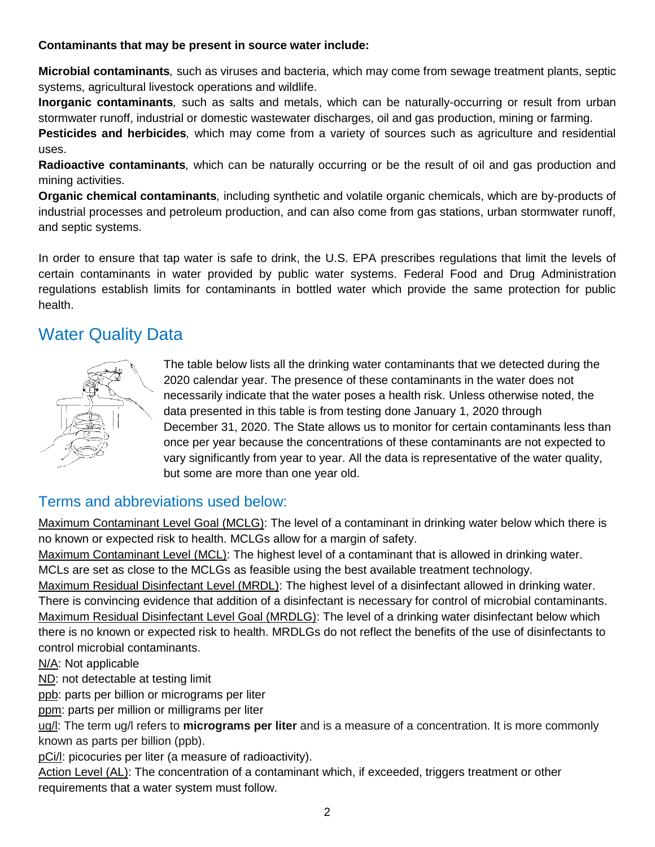#### **Contaminants that may be present in source water include:**

**Microbial contaminants***,* such as viruses and bacteria, which may come from sewage treatment plants, septic systems, agricultural livestock operations and wildlife.

**Inorganic contaminants***,* such as salts and metals, which can be naturally-occurring or result from urban stormwater runoff, industrial or domestic wastewater discharges, oil and gas production, mining or farming.

**Pesticides and herbicides***,* which may come from a variety of sources such as agriculture and residential uses.

**Radioactive contaminants***,* which can be naturally occurring or be the result of oil and gas production and mining activities.

**Organic chemical contaminants***,* including synthetic and volatile organic chemicals, which are by-products of industrial processes and petroleum production, and can also come from gas stations, urban stormwater runoff, and septic systems.

In order to ensure that tap water is safe to drink, the U.S. EPA prescribes regulations that limit the levels of certain contaminants in water provided by public water systems. Federal Food and Drug Administration regulations establish limits for contaminants in bottled water which provide the same protection for public health.

## Water Quality Data



The table below lists all the drinking water contaminants that we detected during the 2020 calendar year. The presence of these contaminants in the water does not necessarily indicate that the water poses a health risk. Unless otherwise noted, the data presented in this table is from testing done January 1, 2020 through December 31, 2020. The State allows us to monitor for certain contaminants less than once per year because the concentrations of these contaminants are not expected to vary significantly from year to year. All the data is representative of the water quality, but some are more than one year old.

#### Terms and abbreviations used below:

Maximum Contaminant Level Goal (MCLG): The level of a contaminant in drinking water below which there is no known or expected risk to health. MCLGs allow for a margin of safety.

Maximum Contaminant Level (MCL): The highest level of a contaminant that is allowed in drinking water. MCLs are set as close to the MCLGs as feasible using the best available treatment technology.

Maximum Residual Disinfectant Level (MRDL): The highest level of a disinfectant allowed in drinking water. There is convincing evidence that addition of a disinfectant is necessary for control of microbial contaminants. Maximum Residual Disinfectant Level Goal (MRDLG): The level of a drinking water disinfectant below which there is no known or expected risk to health. MRDLGs do not reflect the benefits of the use of disinfectants to control microbial contaminants.

N/A: Not applicable

ND: not detectable at testing limit

ppb: parts per billion or micrograms per liter

ppm: parts per million or milligrams per liter

ug/l: The term ug/l refers to **micrograms per liter** and is a measure of a concentration. It is more commonly known as parts per billion (ppb).

pCi/l: picocuries per liter (a measure of radioactivity).

Action Level (AL): The concentration of a contaminant which, if exceeded, triggers treatment or other requirements that a water system must follow.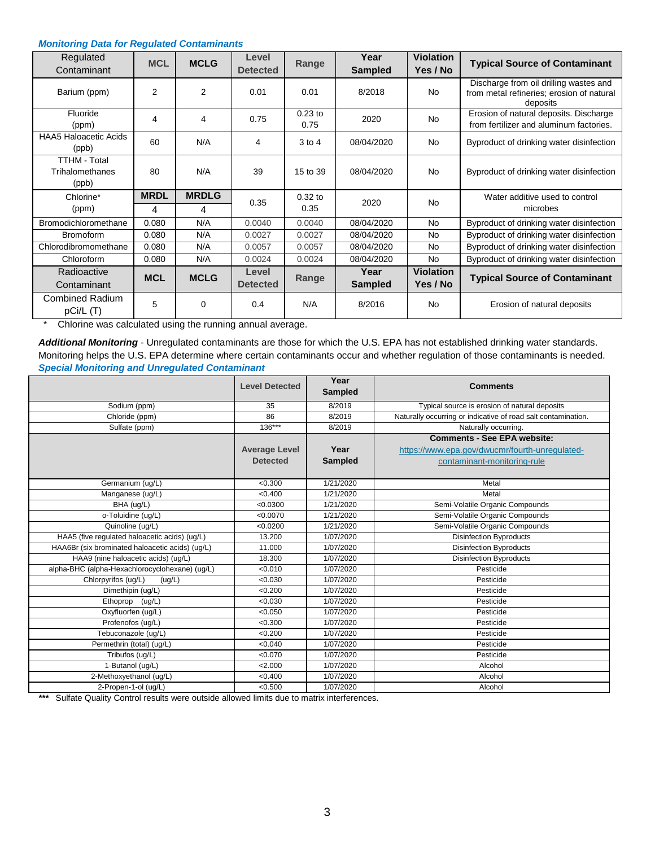#### *Monitoring Data for Regulated Contaminants*

| Regulated<br>Contaminant                        | <b>MCL</b>       | <b>MCLG</b>       | Level<br><b>Detected</b> | Range             | Year<br><b>Sampled</b> | <b>Violation</b><br>Yes / No | <b>Typical Source of Contaminant</b>                                                            |
|-------------------------------------------------|------------------|-------------------|--------------------------|-------------------|------------------------|------------------------------|-------------------------------------------------------------------------------------------------|
| Barium (ppm)                                    | 2                | 2                 | 0.01                     | 0.01              | 8/2018                 | <b>No</b>                    | Discharge from oil drilling wastes and<br>from metal refineries; erosion of natural<br>deposits |
| Fluoride<br>(ppm)                               | 4                | 4                 | 0.75                     | $0.23$ to<br>0.75 | 2020                   | <b>No</b>                    | Erosion of natural deposits. Discharge<br>from fertilizer and aluminum factories.               |
| <b>HAA5 Haloacetic Acids</b><br>(ppb)           | 60               | N/A               | 4                        | $3$ to 4          | 08/04/2020             | <b>No</b>                    | Byproduct of drinking water disinfection                                                        |
| <b>TTHM - Total</b><br>Trihalomethanes<br>(ppb) | 80               | N/A               | 39                       | 15 to 39          | 08/04/2020             | <b>No</b>                    | Byproduct of drinking water disinfection                                                        |
| Chlorine*<br>(ppm)                              | <b>MRDL</b><br>4 | <b>MRDLG</b><br>4 | 0.35                     | $0.32$ to<br>0.35 | 2020                   | <b>No</b>                    | Water additive used to control<br>microbes                                                      |
| <b>Bromodichloromethane</b>                     | 0.080            | N/A               | 0.0040                   | 0.0040            | 08/04/2020             | <b>No</b>                    | Byproduct of drinking water disinfection                                                        |
| <b>Bromoform</b>                                | 0.080            | N/A               | 0.0027                   | 0.0027            | 08/04/2020             | No                           | Byproduct of drinking water disinfection                                                        |
| Chlorodibromomethane                            | 0.080            | N/A               | 0.0057                   | 0.0057            | 08/04/2020             | <b>No</b>                    | Byproduct of drinking water disinfection                                                        |
| Chloroform                                      | 0.080            | N/A               | 0.0024                   | 0.0024            | 08/04/2020             | <b>No</b>                    | Byproduct of drinking water disinfection                                                        |
| Radioactive<br>Contaminant                      | <b>MCL</b>       | <b>MCLG</b>       | Level<br><b>Detected</b> | Range             | Year<br><b>Sampled</b> | <b>Violation</b><br>Yes / No | <b>Typical Source of Contaminant</b>                                                            |
| <b>Combined Radium</b><br>pCi/L(T)              | 5                | $\Omega$          | 0.4                      | N/A               | 8/2016                 | <b>No</b>                    | Erosion of natural deposits                                                                     |

\* Chlorine was calculated using the running annual average.

*Additional Monitoring* - Unregulated contaminants are those for which the U.S. EPA has not established drinking water standards. Monitoring helps the U.S. EPA determine where certain contaminants occur and whether regulation of those contaminants is needed. *Special Monitoring and Unregulated Contaminant*

|                                                 | <b>Level Detected</b> | Year<br><b>Comments</b><br><b>Sampled</b> |                                                               |  |
|-------------------------------------------------|-----------------------|-------------------------------------------|---------------------------------------------------------------|--|
| Sodium (ppm)                                    | 35                    | 8/2019                                    | Typical source is erosion of natural deposits                 |  |
| Chloride (ppm)                                  | 86                    | 8/2019                                    | Naturally occurring or indicative of road salt contamination. |  |
| Sulfate (ppm)                                   | $136***$              | 8/2019                                    | Naturally occurring.                                          |  |
|                                                 |                       |                                           | <b>Comments - See EPA website:</b>                            |  |
|                                                 | <b>Average Level</b>  | Year                                      | https://www.epa.gov/dwucmr/fourth-unregulated-                |  |
|                                                 | <b>Detected</b>       | <b>Sampled</b>                            | contaminant-monitoring-rule                                   |  |
|                                                 |                       |                                           |                                                               |  |
| Germanium (ug/L)                                | < 0.300               | 1/21/2020                                 | Metal                                                         |  |
| Manganese (ug/L)                                | < 0.400               | 1/21/2020                                 | Metal                                                         |  |
| BHA (ug/L)                                      | < 0.0300              | 1/21/2020                                 | Semi-Volatile Organic Compounds                               |  |
| o-Toluidine (ug/L)                              | < 0.0070              | 1/21/2020                                 | Semi-Volatile Organic Compounds                               |  |
| Quinoline (ug/L)                                | < 0.0200              | 1/21/2020                                 | Semi-Volatile Organic Compounds                               |  |
| HAA5 (five regulated haloacetic acids) (ug/L)   | 13.200                | 1/07/2020                                 | <b>Disinfection Byproducts</b>                                |  |
| HAA6Br (six brominated haloacetic acids) (uq/L) | 11.000                | 1/07/2020                                 | <b>Disinfection Byproducts</b>                                |  |
| HAA9 (nine haloacetic acids) (uq/L)             | 18.300                | 1/07/2020                                 | <b>Disinfection Byproducts</b>                                |  |
| alpha-BHC (alpha-Hexachlorocyclohexane) (ug/L)  | < 0.010               | 1/07/2020                                 | Pesticide                                                     |  |
| Chlorpyrifos (ug/L)<br>(ug/L)                   | < 0.030               | 1/07/2020                                 | Pesticide                                                     |  |
| Dimethipin (ug/L)                               | < 0.200               | 1/07/2020                                 | Pesticide                                                     |  |
| Ethoprop<br>(ug/L)                              | < 0.030               | 1/07/2020                                 | Pesticide                                                     |  |
| Oxyfluorfen (ug/L)                              | < 0.050               | 1/07/2020                                 | Pesticide                                                     |  |
| Profenofos (ug/L)                               | < 0.300               | 1/07/2020                                 | Pesticide                                                     |  |
| Tebuconazole (uq/L)                             | < 0.200               | 1/07/2020                                 | Pesticide                                                     |  |
| Permethrin (total) (ug/L)                       | < 0.040               | 1/07/2020                                 | Pesticide                                                     |  |
| Tribufos (ug/L)                                 | < 0.070               | 1/07/2020                                 | Pesticide                                                     |  |
| 1-Butanol (ug/L)                                | 2.000                 | 1/07/2020                                 | Alcohol                                                       |  |
| 2-Methoxyethanol (ug/L)                         | < 0.400               | 1/07/2020                                 | Alcohol                                                       |  |
| 2-Propen-1-ol (ug/L)                            | < 0.500               | 1/07/2020                                 | Alcohol                                                       |  |

*\*\*\** Sulfate Quality Control results were outside allowed limits due to matrix interferences.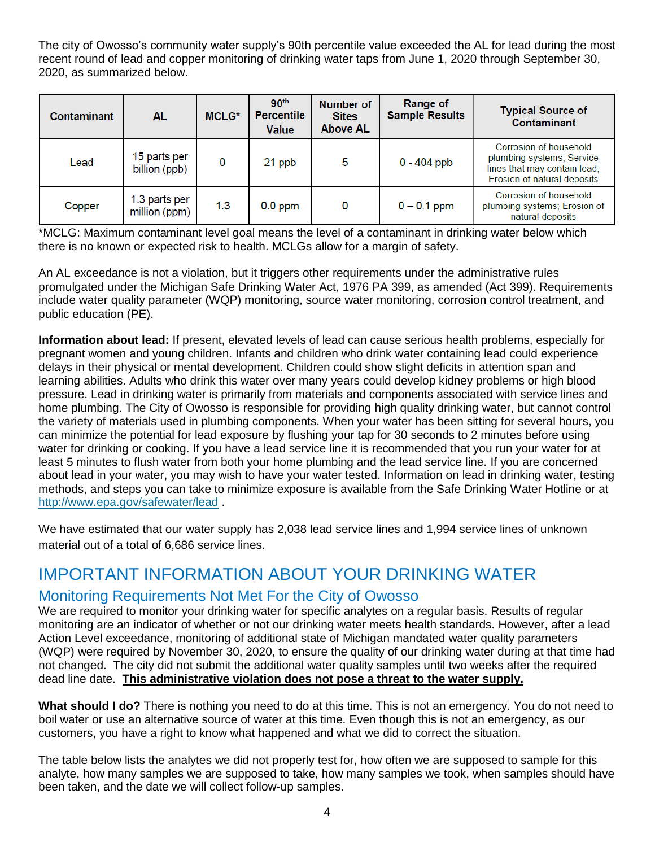The city of Owosso's community water supply's 90th percentile value exceeded the AL for lead during the most recent round of lead and copper monitoring of drinking water taps from June 1, 2020 through September 30, 2020, as summarized below.

| <b>Contaminant</b> | AL.                            | <b>MCLG*</b> | 90 <sup>th</sup><br><b>Percentile</b><br>Value | Number of<br><b>Sites</b><br><b>Above AL</b> | <b>Range of</b><br><b>Sample Results</b> | <b>Typical Source of</b><br><b>Contaminant</b>                                                                     |
|--------------------|--------------------------------|--------------|------------------------------------------------|----------------------------------------------|------------------------------------------|--------------------------------------------------------------------------------------------------------------------|
| Lead               | 15 parts per<br>billion (ppb)  | 0            | 21 ppb                                         | 5                                            | $0 - 404$ ppb                            | Corrosion of household<br>plumbing systems; Service<br>lines that may contain lead;<br>Erosion of natural deposits |
| Copper             | 1.3 parts per<br>million (ppm) | 1.3          | $0.0$ ppm                                      | 0                                            | $0 - 0.1$ ppm                            | Corrosion of household<br>plumbing systems; Erosion of<br>natural deposits                                         |

\*MCLG: Maximum contaminant level goal means the level of a contaminant in drinking water below which there is no known or expected risk to health. MCLGs allow for a margin of safety.

An AL exceedance is not a violation, but it triggers other requirements under the administrative rules promulgated under the Michigan Safe Drinking Water Act, 1976 PA 399, as amended (Act 399). Requirements include water quality parameter (WQP) monitoring, source water monitoring, corrosion control treatment, and public education (PE).

**Information about lead:** If present, elevated levels of lead can cause serious health problems, especially for pregnant women and young children. Infants and children who drink water containing lead could experience delays in their physical or mental development. Children could show slight deficits in attention span and learning abilities. Adults who drink this water over many years could develop kidney problems or high blood pressure. Lead in drinking water is primarily from materials and components associated with service lines and home plumbing. The City of Owosso is responsible for providing high quality drinking water, but cannot control the variety of materials used in plumbing components. When your water has been sitting for several hours, you can minimize the potential for lead exposure by flushing your tap for 30 seconds to 2 minutes before using water for drinking or cooking. If you have a lead service line it is recommended that you run your water for at least 5 minutes to flush water from both your home plumbing and the lead service line. If you are concerned about lead in your water, you may wish to have your water tested. Information on lead in drinking water, testing methods, and steps you can take to minimize exposure is available from the Safe Drinking Water Hotline or at <http://www.epa.gov/safewater/lead> .

We have estimated that our water supply has 2,038 lead service lines and 1,994 service lines of unknown material out of a total of 6,686 service lines.

## IMPORTANT INFORMATION ABOUT YOUR DRINKING WATER

#### Monitoring Requirements Not Met For the City of Owosso

We are required to monitor your drinking water for specific analytes on a regular basis. Results of regular monitoring are an indicator of whether or not our drinking water meets health standards. However, after a lead Action Level exceedance, monitoring of additional state of Michigan mandated water quality parameters (WQP) were required by November 30, 2020, to ensure the quality of our drinking water during at that time had not changed. The city did not submit the additional water quality samples until two weeks after the required dead line date. **This administrative violation does not pose a threat to the water supply.**

**What should I do?** There is nothing you need to do at this time. This is not an emergency. You do not need to boil water or use an alternative source of water at this time. Even though this is not an emergency, as our customers, you have a right to know what happened and what we did to correct the situation.

The table below lists the analytes we did not properly test for, how often we are supposed to sample for this analyte, how many samples we are supposed to take, how many samples we took, when samples should have been taken, and the date we will collect follow-up samples.